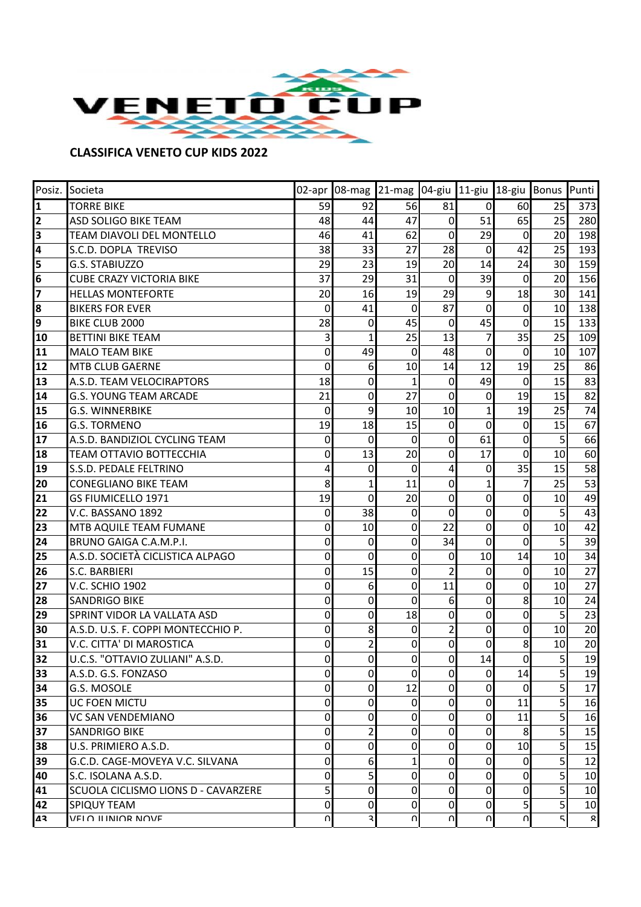

## **CLASSIFICA VENETO CUP KIDS 2022**

|    | Posiz. Societa                      |                |                | 02-apr 08-mag 21-mag 04-giu 11-giu 18-giu Bonus Punti |                |                |                |    |          |
|----|-------------------------------------|----------------|----------------|-------------------------------------------------------|----------------|----------------|----------------|----|----------|
| 1  | <b>TORRE BIKE</b>                   | 59             | 92             | 56                                                    | 81             | $\overline{0}$ | 60             | 25 | 373      |
| 2  | ASD SOLIGO BIKE TEAM                | 48             | 44             | 47                                                    | $\mathbf 0$    | 51             | 65             | 25 | 280      |
| 3  | TEAM DIAVOLI DEL MONTELLO           | 46             | 41             | 62                                                    | $\mathbf 0$    | 29             | $\overline{0}$ | 20 | 198      |
| 4  | S.C.D. DOPLA TREVISO                | 38             | 33             | 27                                                    | 28             | 0              | 42             | 25 | 193      |
| 5  | G.S. STABIUZZO                      | 29             | 23             | 19                                                    | 20             | 14             | 24             | 30 | 159      |
| 6  | <b>CUBE CRAZY VICTORIA BIKE</b>     | 37             | 29             | 31                                                    | $\Omega$       | 39             | $\Omega$       | 20 | 156      |
| 7  | <b>HELLAS MONTEFORTE</b>            | 20             | 16             | 19                                                    | 29             | $\overline{9}$ | 18             | 30 | 141      |
| 8  | <b>BIKERS FOR EVER</b>              | $\mathbf 0$    | 41             | $\mathbf 0$                                           | 87             | $\mathbf 0$    | $\overline{0}$ | 10 | 138      |
| 9  | BIKE CLUB 2000                      | 28             | 0              | 45                                                    | $\Omega$       | 45             | 0              | 15 | 133      |
| 10 | <b>BETTINI BIKE TEAM</b>            | 3              | 1              | 25                                                    | 13             | $\overline{7}$ | 35             | 25 | 109      |
| 11 | <b>MALO TEAM BIKE</b>               | $\mathbf 0$    | 49             | 0                                                     | 48             | $\Omega$       | $\Omega$       | 10 | 107      |
| 12 | <b>MTB CLUB GAERNE</b>              | $\overline{0}$ | 6              | 10                                                    | 14             | 12             | 19             | 25 | 86       |
| 13 | A.S.D. TEAM VELOCIRAPTORS           | 18             | 0              | 1                                                     | $\Omega$       | 49             | $\Omega$       | 15 | 83       |
| 14 | <b>G.S. YOUNG TEAM ARCADE</b>       | 21             | 0              | 27                                                    | $\Omega$       | 0              | 19             | 15 | 82       |
| 15 | <b>G.S. WINNERBIKE</b>              | $\Omega$       | 9              | 10                                                    | 10             | $\mathbf{1}$   | 19             | 25 | 74       |
| 16 | <b>G.S. TORMENO</b>                 | 19             | 18             | 15                                                    | $\Omega$       | $\mathbf 0$    | $\Omega$       | 15 | 67       |
| 17 | A.S.D. BANDIZIOL CYCLING TEAM       | 0              | 0              | 0                                                     | 0              | 61             | 0              | 5  | 66       |
| 18 | <b>TEAM OTTAVIO BOTTECCHIA</b>      | $\mathbf 0$    | 13             | 20                                                    | 0              | 17             | $\Omega$       | 10 | 60       |
| 19 | S.S.D. PEDALE FELTRINO              | 4              | 0              | $\mathbf 0$                                           | 4              | 0              | 35             | 15 | 58       |
| 20 | <b>CONEGLIANO BIKE TEAM</b>         | 8              | 1              | 11                                                    | 0              | $\mathbf{1}$   |                | 25 | 53       |
| 21 | <b>GS FIUMICELLO 1971</b>           | 19             | 0              | 20                                                    | 0              | 0              | 0              | 10 | 49       |
| 22 | V.C. BASSANO 1892                   | $\mathbf 0$    | 38             | $\mathbf 0$                                           | 0              | $\mathbf 0$    | $\Omega$       | 5  | 43       |
| 23 | MTB AQUILE TEAM FUMANE              | $\mathbf 0$    | 10             | 0                                                     | 22             | 0              | 0              | 10 | 42       |
| 24 | BRUNO GAIGA C.A.M.P.I.              | $\mathbf 0$    | 0              | 0                                                     | 34             | 0              | $\Omega$       | 5  | 39       |
| 25 | A.S.D. SOCIETÀ CICLISTICA ALPAGO    | $\overline{0}$ | 0              | 0                                                     | 0              | 10             | 14             | 10 | 34       |
| 26 | S.C. BARBIERI                       | $\mathbf 0$    | 15             | $\mathbf 0$                                           | $\overline{2}$ | 0              | $\mathbf 0$    | 10 | 27       |
| 27 | <b>V.C. SCHIO 1902</b>              | $\mathbf 0$    | 6              | $\mathbf 0$                                           | 11             | 0              | 0              | 10 | 27       |
| 28 | <b>SANDRIGO BIKE</b>                | $\mathbf 0$    | 0              | $\overline{0}$                                        | 6              | 0              | 8              | 10 | 24       |
| 29 | SPRINT VIDOR LA VALLATA ASD         | $\mathbf 0$    | 0              | 18                                                    | 0              | 0              | $\Omega$       | 5  | 23       |
| 30 | A.S.D. U.S. F. COPPI MONTECCHIO P.  | $\mathbf 0$    | 8              | 0                                                     | $\overline{2}$ | $\overline{0}$ | 0              | 10 | 20       |
| 31 | V.C. CITTA' DI MAROSTICA            | $\overline{0}$ |                | 0                                                     | 0              | $\mathbf 0$    | 8              | 10 | 20       |
| 32 | U.C.S. "OTTAVIO ZULIANI" A.S.D.     | $\Omega$       | $\overline{0}$ | $\overline{0}$                                        | $\overline{0}$ | 14             | $\overline{0}$ | 5  | 19       |
| 33 | A.S.D. G.S. FONZASO                 | $\overline{0}$ | 0              | $\mathbf 0$                                           | 0              | $\overline{0}$ | 14             | 5  | 19       |
| 34 | G.S. MOSOLE                         | $\overline{0}$ | $\Omega$       | 12                                                    | $\Omega$       | $\overline{0}$ | $\Omega$       | 5  | 17       |
| 35 | UC FOEN MICTU                       | $\overline{0}$ | 0              | $\Omega$                                              | $\Omega$       | $\overline{0}$ | 11             | 5  | 16       |
| 36 | VC SAN VENDEMIANO                   | $\overline{0}$ | 0              | 0                                                     | 0              | 0              | 11             | 5  | 16       |
| 37 | <b>SANDRIGO BIKE</b>                | $\overline{0}$ | 2              | 0                                                     | 0              | $\overline{0}$ | 8              | 5  | 15       |
| 38 | U.S. PRIMIERO A.S.D.                | $\overline{0}$ | 0              | 0                                                     | $\Omega$       | $\overline{0}$ | 10             | 5  | 15       |
| 39 | G.C.D. CAGE-MOVEYA V.C. SILVANA     | $\overline{0}$ | 6              | 1                                                     | $\Omega$       | $\overline{0}$ | 0              | 5  | 12       |
| 40 | S.C. ISOLANA A.S.D.                 | $\overline{0}$ | 5              | 0                                                     | 0              | $\Omega$       | 0              | 5  | 10       |
| 41 | SCUOLA CICLISMO LIONS D - CAVARZERE | $\mathsf{S}$   | 0              | 0                                                     | 0              | $\overline{0}$ | 0l             | 5  | 10       |
| 42 | SPIQUY TEAM                         | $\overline{0}$ | 0              | 0                                                     | 0              | $\overline{0}$ | 5              | 5  | 10       |
| 42 | VELO ILINIOR NOVE                   | $\cap$         | 3              | $\Omega$                                              | ΩI             | $\cap$         | U              | 5  | $\Omega$ |